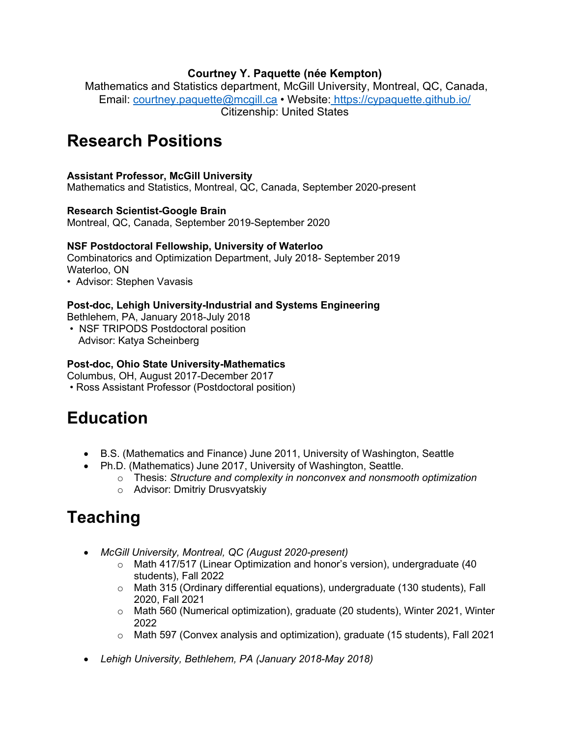### **Courtney Y. Paquette (née Kempton)**

Mathematics and Statistics department, McGill University, Montreal, QC, Canada, Email: courtney.paquette@mcgill.ca • Website: https://cypaquette.github.io/ Citizenship: United States

## **Research Positions**

#### **Assistant Professor, McGill University**

Mathematics and Statistics, Montreal, QC, Canada, September 2020-present

#### **Research Scientist-Google Brain**

Montreal, QC, Canada, September 2019-September 2020

#### **NSF Postdoctoral Fellowship, University of Waterloo**

Combinatorics and Optimization Department, July 2018- September 2019 Waterloo, ON

• Advisor: Stephen Vavasis

#### **Post-doc, Lehigh University-Industrial and Systems Engineering**

Bethlehem, PA, January 2018-July 2018

• NSF TRIPODS Postdoctoral position Advisor: Katya Scheinberg

#### **Post-doc, Ohio State University-Mathematics**

Columbus, OH, August 2017-December 2017

• Ross Assistant Professor (Postdoctoral position)

# **Education**

- B.S. (Mathematics and Finance) June 2011, University of Washington, Seattle
- Ph.D. (Mathematics) June 2017, University of Washington, Seattle.
	- o Thesis: *Structure and complexity in nonconvex and nonsmooth optimization*
	- o Advisor: Dmitriy Drusvyatskiy

# **Teaching**

- *McGill University, Montreal, QC (August 2020-present)*
	- $\circ$  Math 417/517 (Linear Optimization and honor's version), undergraduate (40 students), Fall 2022
	- o Math 315 (Ordinary differential equations), undergraduate (130 students), Fall 2020, Fall 2021
	- o Math 560 (Numerical optimization), graduate (20 students), Winter 2021, Winter 2022
	- $\circ$  Math 597 (Convex analysis and optimization), graduate (15 students), Fall 2021
- *Lehigh University, Bethlehem, PA (January 2018-May 2018)*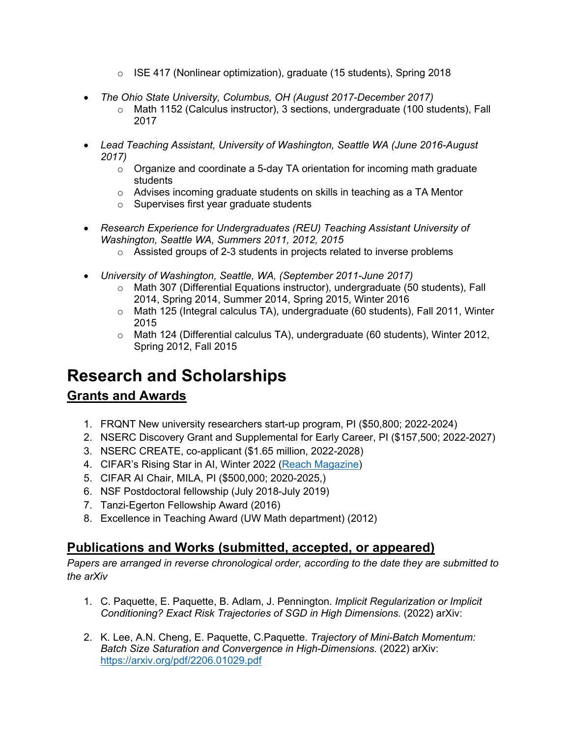- o ISE 417 (Nonlinear optimization), graduate (15 students), Spring 2018
- *The Ohio State University, Columbus, OH (August 2017-December 2017)*
	- $\circ$  Math 1152 (Calculus instructor), 3 sections, undergraduate (100 students), Fall 2017
- *Lead Teaching Assistant, University of Washington, Seattle WA (June 2016-August 2017)*
	- $\circ$  Organize and coordinate a 5-day TA orientation for incoming math graduate students
	- o Advises incoming graduate students on skills in teaching as a TA Mentor
	- o Supervises first year graduate students
- *Research Experience for Undergraduates (REU) Teaching Assistant University of Washington, Seattle WA, Summers 2011, 2012, 2015*
	- o Assisted groups of 2-3 students in projects related to inverse problems
- *University of Washington, Seattle, WA, (September 2011-June 2017)*
	- o Math 307 (Differential Equations instructor), undergraduate (50 students), Fall 2014, Spring 2014, Summer 2014, Spring 2015, Winter 2016
	- $\circ$  Math 125 (Integral calculus TA), undergraduate (60 students), Fall 2011, Winter 2015
	- $\circ$  Math 124 (Differential calculus TA), undergraduate (60 students), Winter 2012, Spring 2012, Fall 2015

## **Research and Scholarships**

## **Grants and Awards**

- 1. FRQNT New university researchers start-up program, PI (\$50,800; 2022-2024)
- 2. NSERC Discovery Grant and Supplemental for Early Career, PI (\$157,500; 2022-2027)
- 3. NSERC CREATE, co-applicant (\$1.65 million, 2022-2028)
- 4. CIFAR's Rising Star in AI, Winter 2022 (Reach Magazine)
- 5. CIFAR AI Chair, MILA, PI (\$500,000; 2020-2025,)
- 6. NSF Postdoctoral fellowship (July 2018-July 2019)
- 7. Tanzi-Egerton Fellowship Award (2016)
- 8. Excellence in Teaching Award (UW Math department) (2012)

## **Publications and Works (submitted, accepted, or appeared)**

*Papers are arranged in reverse chronological order, according to the date they are submitted to the arXiv*

- 1. C. Paquette, E. Paquette, B. Adlam, J. Pennington. *Implicit Regularization or Implicit Conditioning? Exact Risk Trajectories of SGD in High Dimensions.* (2022) arXiv:
- 2. K. Lee, A.N. Cheng, E. Paquette, C.Paquette. *Trajectory of Mini-Batch Momentum: Batch Size Saturation and Convergence in High-Dimensions.* (2022) arXiv: https://arxiv.org/pdf/2206.01029.pdf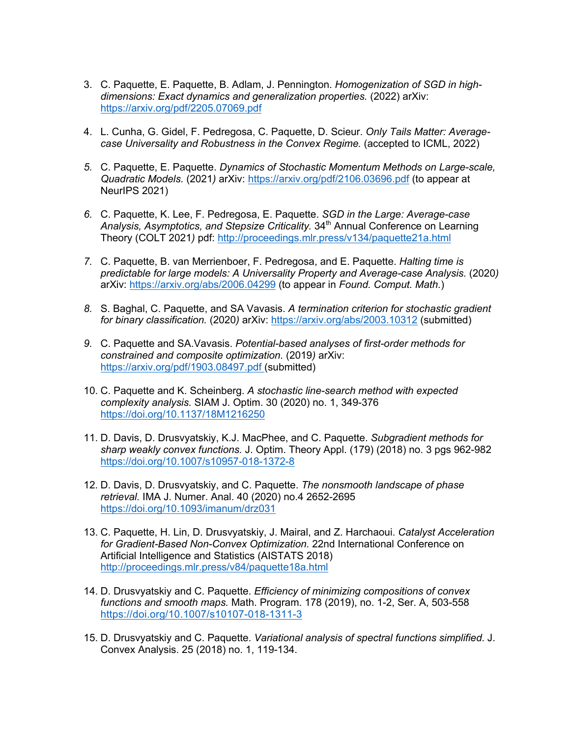- 3. C. Paquette, E. Paquette, B. Adlam, J. Pennington. *Homogenization of SGD in highdimensions: Exact dynamics and generalization properties.* (2022) arXiv: https://arxiv.org/pdf/2205.07069.pdf
- 4. L. Cunha, G. Gidel, F. Pedregosa, C. Paquette, D. Scieur. *Only Tails Matter: Averagecase Universality and Robustness in the Convex Regime.* (accepted to ICML, 2022)
- *5.* C. Paquette, E. Paquette. *Dynamics of Stochastic Momentum Methods on Large-scale, Quadratic Models.* (2021*)* arXiv: https://arxiv.org/pdf/2106.03696.pdf (to appear at NeurIPS 2021)
- *6.* C. Paquette, K. Lee, F. Pedregosa, E. Paquette. *SGD in the Large: Average-case*  Analysis, Asymptotics, and Stepsize Criticality. 34<sup>th</sup> Annual Conference on Learning Theory (COLT 2021*)* pdf: http://proceedings.mlr.press/v134/paquette21a.html
- *7.* C. Paquette, B. van Merrienboer, F. Pedregosa, and E. Paquette. *Halting time is predictable for large models: A Universality Property and Average-case Analysis.* (2020*)*  arXiv: https://arxiv.org/abs/2006.04299 (to appear in *Found. Comput. Math.*)
- *8.* S. Baghal, C. Paquette, and SA Vavasis. *A termination criterion for stochastic gradient for binary classification.* (2020*)* arXiv: https://arxiv.org/abs/2003.10312 (submitted)
- *9.* C. Paquette and SA.Vavasis. *Potential-based analyses of first-order methods for constrained and composite optimization.* (2019*)* arXiv: https://arxiv.org/pdf/1903.08497.pdf (submitted)
- 10. C. Paquette and K. Scheinberg. *A stochastic line-search method with expected complexity analysis.* SIAM J. Optim. 30 (2020) no. 1, 349-376 https://doi.org/10.1137/18M1216250
- 11. D. Davis, D. Drusvyatskiy, K.J. MacPhee, and C. Paquette. *Subgradient methods for sharp weakly convex functions.* J. Optim. Theory Appl. (179) (2018) no. 3 pgs 962-982 https://doi.org/10.1007/s10957-018-1372-8
- 12. D. Davis, D. Drusvyatskiy, and C. Paquette. *The nonsmooth landscape of phase retrieval.* IMA J. Numer. Anal. 40 (2020) no.4 2652-2695 https://doi.org/10.1093/imanum/drz031
- 13. C. Paquette, H. Lin, D. Drusvyatskiy, J. Mairal, and Z. Harchaoui. *Catalyst Acceleration for Gradient-Based Non-Convex Optimization.* 22nd International Conference on Artificial Intelligence and Statistics (AISTATS 2018) http://proceedings.mlr.press/v84/paquette18a.html
- 14. D. Drusvyatskiy and C. Paquette. *Efficiency of minimizing compositions of convex functions and smooth maps.* Math. Program. 178 (2019), no. 1-2, Ser. A, 503-558 https://doi.org/10.1007/s10107-018-1311-3
- 15. D. Drusvyatskiy and C. Paquette. *Variational analysis of spectral functions simplified*. J. Convex Analysis. 25 (2018) no. 1, 119-134.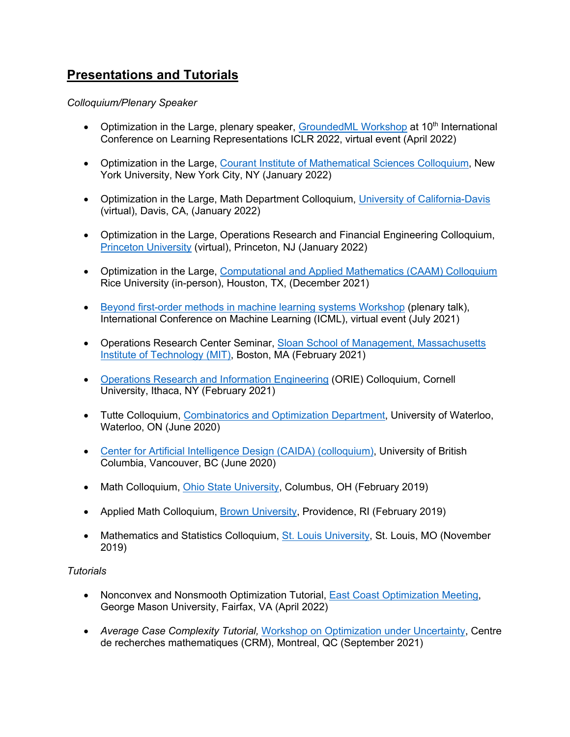## **Presentations and Tutorials**

#### *Colloquium/Plenary Speaker*

- Optimization in the Large, plenary speaker, GroundedML Workshop at 10<sup>th</sup> International Conference on Learning Representations ICLR 2022, virtual event (April 2022)
- Optimization in the Large, Courant Institute of Mathematical Sciences Colloquium, New York University, New York City, NY (January 2022)
- Optimization in the Large, Math Department Colloquium, University of California-Davis (virtual), Davis, CA, (January 2022)
- Optimization in the Large, Operations Research and Financial Engineering Colloquium, Princeton University (virtual), Princeton, NJ (January 2022)
- Optimization in the Large, Computational and Applied Mathematics (CAAM) Colloquium Rice University (in-person), Houston, TX, (December 2021)
- Beyond first-order methods in machine learning systems Workshop (plenary talk), International Conference on Machine Learning (ICML), virtual event (July 2021)
- Operations Research Center Seminar, Sloan School of Management, Massachusetts Institute of Technology (MIT), Boston, MA (February 2021)
- Operations Research and Information Engineering (ORIE) Colloquium, Cornell University, Ithaca, NY (February 2021)
- Tutte Colloquium, Combinatorics and Optimization Department, University of Waterloo, Waterloo, ON (June 2020)
- Center for Artificial Intelligence Design (CAIDA) (colloquium), University of British Columbia, Vancouver, BC (June 2020)
- Math Colloquium, Ohio State University, Columbus, OH (February 2019)
- Applied Math Colloquium, Brown University, Providence, RI (February 2019)
- Mathematics and Statistics Colloquium, St. Louis University, St. Louis, MO (November 2019)

#### *Tutorials*

- Nonconvex and Nonsmooth Optimization Tutorial, East Coast Optimization Meeting, George Mason University, Fairfax, VA (April 2022)
- *Average Case Complexity Tutorial,* Workshop on Optimization under Uncertainty, Centre de recherches mathematiques (CRM), Montreal, QC (September 2021)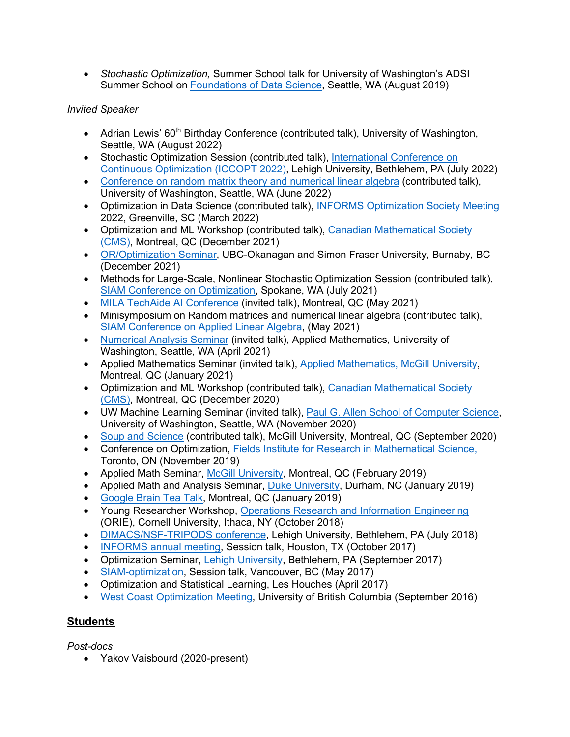• *Stochastic Optimization,* Summer School talk for University of Washington's ADSI Summer School on Foundations of Data Science, Seattle, WA (August 2019)

#### *Invited Speaker*

- Adrian Lewis' 60<sup>th</sup> Birthday Conference (contributed talk), University of Washington, Seattle, WA (August 2022)
- Stochastic Optimization Session (contributed talk), International Conference on Continuous Optimization (ICCOPT 2022), Lehigh University, Bethlehem, PA (July 2022)
- Conference on random matrix theory and numerical linear algebra (contributed talk), University of Washington, Seattle, WA (June 2022)
- Optimization in Data Science (contributed talk), INFORMS Optimization Society Meeting 2022, Greenville, SC (March 2022)
- Optimization and ML Workshop (contributed talk), Canadian Mathematical Society (CMS), Montreal, QC (December 2021)
- OR/Optimization Seminar, UBC-Okanagan and Simon Fraser University, Burnaby, BC (December 2021)
- Methods for Large-Scale, Nonlinear Stochastic Optimization Session (contributed talk), SIAM Conference on Optimization, Spokane, WA (July 2021)
- MILA TechAide AI Conference (invited talk), Montreal, QC (May 2021)
- Minisymposium on Random matrices and numerical linear algebra (contributed talk), SIAM Conference on Applied Linear Algebra, (May 2021)
- Numerical Analysis Seminar (invited talk), Applied Mathematics, University of Washington, Seattle, WA (April 2021)
- Applied Mathematics Seminar (invited talk), Applied Mathematics, McGill University, Montreal, QC (January 2021)
- Optimization and ML Workshop (contributed talk), Canadian Mathematical Society (CMS), Montreal, QC (December 2020)
- UW Machine Learning Seminar (invited talk), Paul G. Allen School of Computer Science, University of Washington, Seattle, WA (November 2020)
- Soup and Science (contributed talk), McGill University, Montreal, QC (September 2020)
- Conference on Optimization, Fields Institute for Research in Mathematical Science, Toronto, ON (November 2019)
- Applied Math Seminar, McGill University, Montreal, QC (February 2019)
- Applied Math and Analysis Seminar, Duke University, Durham, NC (January 2019)
- Google Brain Tea Talk, Montreal, QC (January 2019)
- Young Researcher Workshop, Operations Research and Information Engineering (ORIE), Cornell University, Ithaca, NY (October 2018)
- DIMACS/NSF-TRIPODS conference, Lehigh University, Bethlehem, PA (July 2018)
- INFORMS annual meeting, Session talk, Houston, TX (October 2017)
- Optimization Seminar, Lehigh University, Bethlehem, PA (September 2017)
- SIAM-optimization, Session talk, Vancouver, BC (May 2017)
- Optimization and Statistical Learning, Les Houches (April 2017)
- West Coast Optimization Meeting, University of British Columbia (September 2016)

## **Students**

*Post-docs*

• Yakov Vaisbourd (2020-present)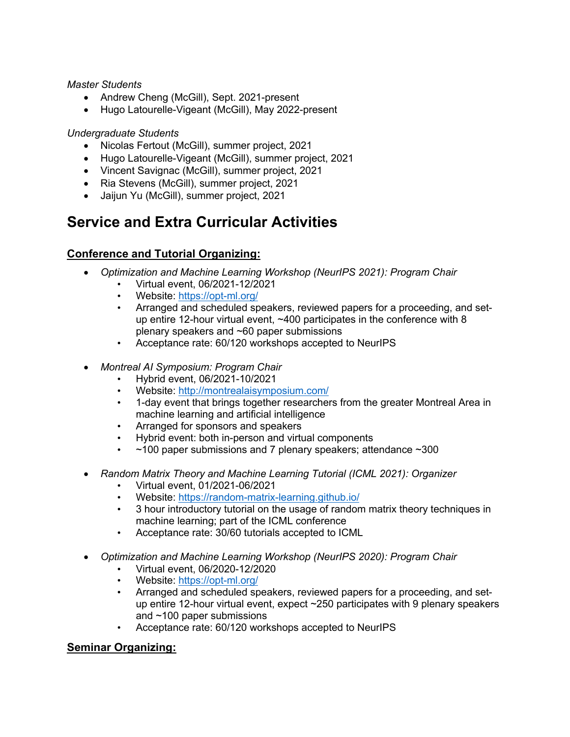#### *Master Students*

- Andrew Cheng (McGill), Sept. 2021-present
- Hugo Latourelle-Vigeant (McGill), May 2022-present

#### *Undergraduate Students*

- Nicolas Fertout (McGill), summer project, 2021
- Hugo Latourelle-Vigeant (McGill), summer project, 2021
- Vincent Savignac (McGill), summer project, 2021
- Ria Stevens (McGill), summer project, 2021
- Jaijun Yu (McGill), summer project, 2021

## **Service and Extra Curricular Activities**

## **Conference and Tutorial Organizing:**

- *Optimization and Machine Learning Workshop (NeurIPS 2021): Program Chair*
	- Virtual event, 06/2021-12/2021
	- Website: https://opt-ml.org/
	- Arranged and scheduled speakers, reviewed papers for a proceeding, and setup entire 12-hour virtual event, ~400 participates in the conference with 8 plenary speakers and ~60 paper submissions
	- Acceptance rate: 60/120 workshops accepted to NeurIPS
- *Montreal AI Symposium: Program Chair*
	- Hybrid event, 06/2021-10/2021
	- Website: http://montrealaisymposium.com/
	- 1-day event that brings together researchers from the greater Montreal Area in machine learning and artificial intelligence
	- Arranged for sponsors and speakers
	- Hybrid event: both in-person and virtual components
	- $\sim$ 100 paper submissions and 7 plenary speakers; attendance  $\sim$ 300
- *Random Matrix Theory and Machine Learning Tutorial (ICML 2021): Organizer*
	- Virtual event, 01/2021-06/2021
	- Website: https://random-matrix-learning.github.io/
	- 3 hour introductory tutorial on the usage of random matrix theory techniques in machine learning; part of the ICML conference
	- Acceptance rate: 30/60 tutorials accepted to ICML
- *Optimization and Machine Learning Workshop (NeurIPS 2020): Program Chair*
	- Virtual event, 06/2020-12/2020
	- Website: https://opt-ml.org/
	- Arranged and scheduled speakers, reviewed papers for a proceeding, and setup entire 12-hour virtual event, expect ~250 participates with 9 plenary speakers and ~100 paper submissions
	- Acceptance rate: 60/120 workshops accepted to NeurIPS

## **Seminar Organizing:**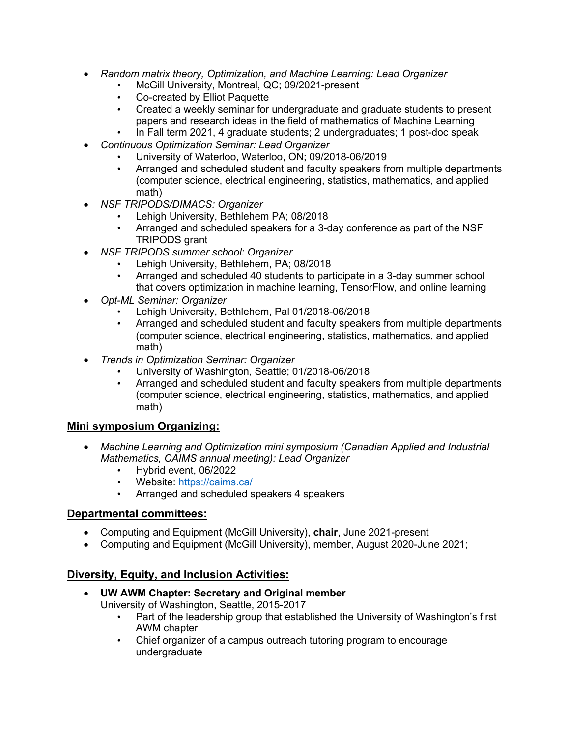- *Random matrix theory, Optimization, and Machine Learning: Lead Organizer*
	- McGill University, Montreal, QC; 09/2021-present
	- Co-created by Elliot Paquette
	- Created a weekly seminar for undergraduate and graduate students to present papers and research ideas in the field of mathematics of Machine Learning
		- In Fall term 2021, 4 graduate students; 2 undergraduates; 1 post-doc speak
- *Continuous Optimization Seminar: Lead Organizer*
	- University of Waterloo, Waterloo, ON; 09/2018-06/2019
	- Arranged and scheduled student and faculty speakers from multiple departments (computer science, electrical engineering, statistics, mathematics, and applied math)
- *NSF TRIPODS/DIMACS: Organizer*
	- Lehigh University, Bethlehem PA; 08/2018
	- Arranged and scheduled speakers for a 3-day conference as part of the NSF TRIPODS grant
- *NSF TRIPODS summer school: Organizer*
	- Lehigh University, Bethlehem, PA; 08/2018
	- Arranged and scheduled 40 students to participate in a 3-day summer school that covers optimization in machine learning, TensorFlow, and online learning
- *Opt-ML Seminar: Organizer*
	- Lehigh University, Bethlehem, Pal 01/2018-06/2018
	- Arranged and scheduled student and faculty speakers from multiple departments (computer science, electrical engineering, statistics, mathematics, and applied math)
- *Trends in Optimization Seminar: Organizer*
	- University of Washington, Seattle; 01/2018-06/2018
	- Arranged and scheduled student and faculty speakers from multiple departments (computer science, electrical engineering, statistics, mathematics, and applied math)

## **Mini symposium Organizing:**

- *Machine Learning and Optimization mini symposium (Canadian Applied and Industrial Mathematics, CAIMS annual meeting): Lead Organizer*
	- Hybrid event, 06/2022
	- Website: https://caims.ca/
	- Arranged and scheduled speakers 4 speakers

## **Departmental committees:**

- Computing and Equipment (McGill University), **chair**, June 2021-present
- Computing and Equipment (McGill University), member, August 2020-June 2021;

## **Diversity, Equity, and Inclusion Activities:**

• **UW AWM Chapter: Secretary and Original member**

University of Washington, Seattle, 2015-2017

- Part of the leadership group that established the University of Washington's first AWM chapter
- Chief organizer of a campus outreach tutoring program to encourage undergraduate